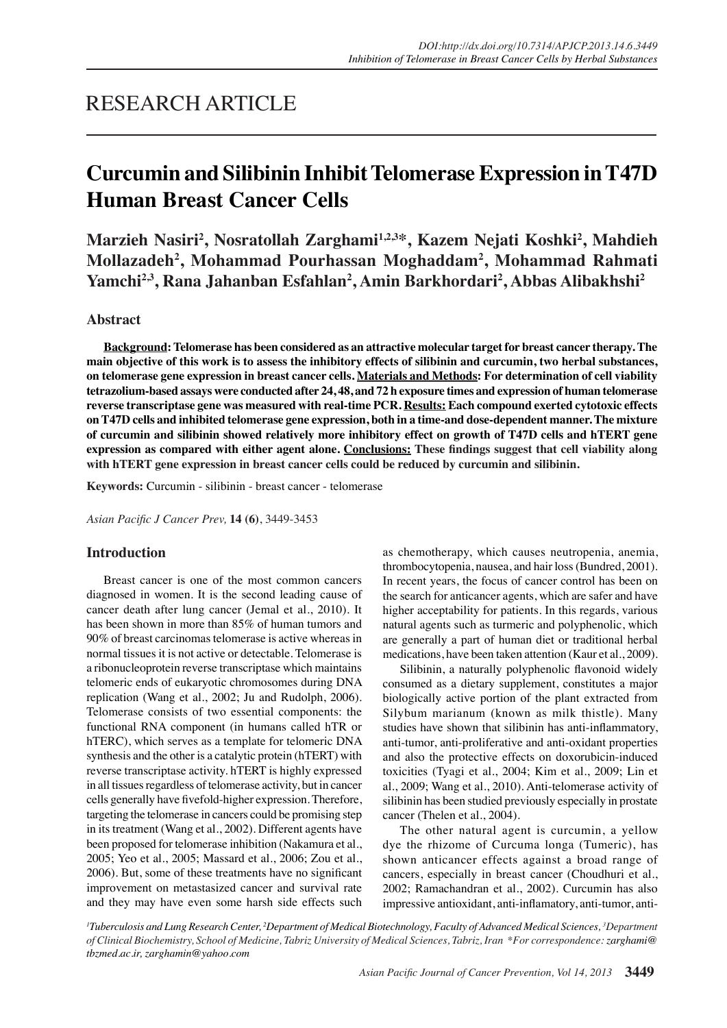# RESEARCH ARTICLE

# **Curcumin and Silibinin Inhibit Telomerase Expression in T47D Human Breast Cancer Cells**

**Marzieh Nasiri2 , Nosratollah Zarghami1,2,3\*, Kazem Nejati Koshki2 , Mahdieh Mollazadeh2 , Mohammad Pourhassan Moghaddam2 , Mohammad Rahmati Yamchi2,3, Rana Jahanban Esfahlan2 , Amin Barkhordari2 , Abbas Alibakhshi2**

# **Abstract**

**Background: Telomerase has been considered as an attractive molecular target for breast cancer therapy. The main objective of this work is to assess the inhibitory effects of silibinin and curcumin, two herbal substances, on telomerase gene expression in breast cancer cells. Materials and Methods: For determination of cell viability tetrazolium-based assays were conducted after 24, 48, and 72 h exposure times and expression of human telomerase reverse transcriptase gene was measured with real-time PCR. Results: Each compound exerted cytotoxic effects on T47D cells and inhibited telomerase gene expression, both in a time-and dose-dependent manner. The mixture of curcumin and silibinin showed relatively more inhibitory effect on growth of T47D cells and hTERT gene expression as compared with either agent alone. Conclusions: These findings suggest that cell viability along with hTERT gene expression in breast cancer cells could be reduced by curcumin and silibinin.**

**Keywords:** Curcumin - silibinin - breast cancer - telomerase

*Asian Pacific J Cancer Prev,* **14 (6)**, 3449-3453

## **Introduction**

Breast cancer is one of the most common cancers diagnosed in women. It is the second leading cause of cancer death after lung cancer (Jemal et al., 2010). It has been shown in more than 85% of human tumors and 90% of breast carcinomas telomerase is active whereas in normal tissues it is not active or detectable. Telomerase is a ribonucleoprotein reverse transcriptase which maintains telomeric ends of eukaryotic chromosomes during DNA replication (Wang et al., 2002; Ju and Rudolph, 2006). Telomerase consists of two essential components: the functional RNA component (in humans called hTR or hTERC), which serves as a template for telomeric DNA synthesis and the other is a catalytic protein (hTERT) with reverse transcriptase activity. hTERT is highly expressed in all tissues regardless of telomerase activity, but in cancer cells generally have fivefold-higher expression. Therefore, targeting the telomerase in cancers could be promising step in its treatment (Wang et al., 2002). Different agents have been proposed for telomerase inhibition (Nakamura et al., 2005; Yeo et al., 2005; Massard et al., 2006; Zou et al., 2006). But, some of these treatments have no significant improvement on metastasized cancer and survival rate and they may have even some harsh side effects such

as chemotherapy, which causes neutropenia, anemia, thrombocytopenia, nausea, and hair loss (Bundred, 2001). In recent years, the focus of cancer control has been on the search for anticancer agents, which are safer and have higher acceptability for patients. In this regards, various natural agents such as turmeric and polyphenolic, which are generally a part of human diet or traditional herbal medications, have been taken attention (Kaur et al., 2009).

Silibinin, a naturally polyphenolic flavonoid widely consumed as a dietary supplement, constitutes a major biologically active portion of the plant extracted from Silybum marianum (known as milk thistle). Many studies have shown that silibinin has anti-inflammatory, anti-tumor, anti-proliferative and anti-oxidant properties and also the protective effects on doxorubicin-induced toxicities (Tyagi et al., 2004; Kim et al., 2009; Lin et al., 2009; Wang et al., 2010). Anti-telomerase activity of silibinin has been studied previously especially in prostate cancer (Thelen et al., 2004).

The other natural agent is curcumin, a yellow dye the rhizome of Curcuma longa (Tumeric), has shown anticancer effects against a broad range of cancers, especially in breast cancer (Choudhuri et al., 2002; Ramachandran et al., 2002). Curcumin has also impressive antioxidant, anti-inflamatory, anti-tumor, anti-

*1 Tuberculosis and Lung Research Center, <sup>2</sup> Department of Medical Biotechnology, Faculty of Advanced Medical Sciences, <sup>3</sup> Department of Clinical Biochemistry, School of Medicine, Tabriz University of Medical Sciences, Tabriz, Iran \*For correspondence: zarghami@ tbzmed.ac.ir, zarghamin@yahoo.com*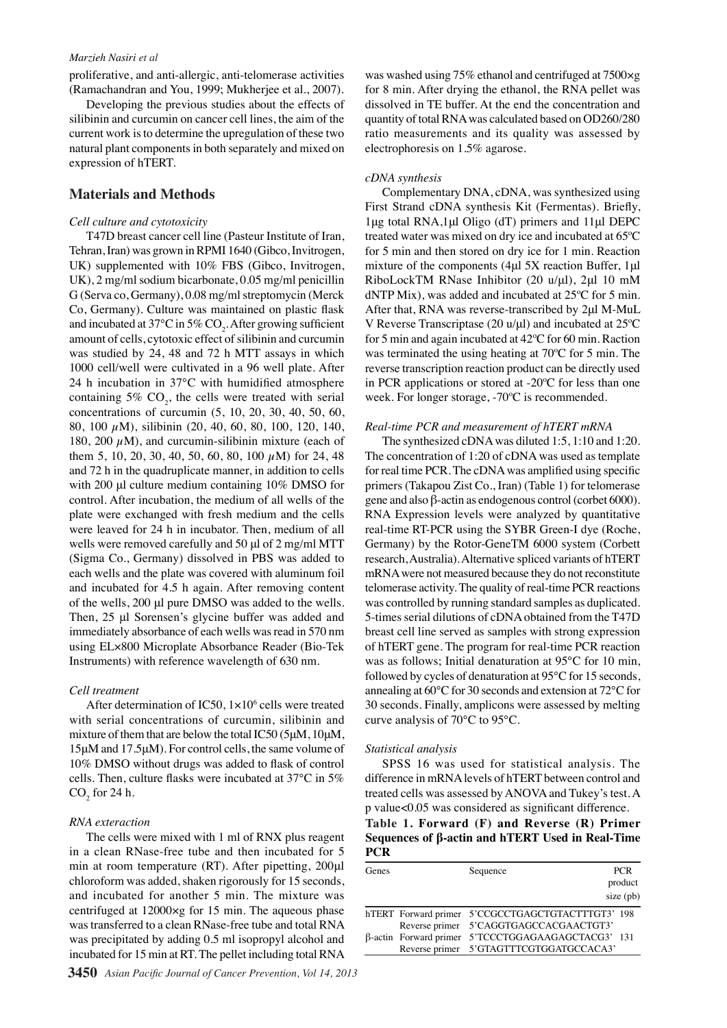#### *Marzieh Nasiri et al*

proliferative, and anti-allergic, anti-telomerase activities (Ramachandran and You, 1999; Mukherjee et al., 2007).

Developing the previous studies about the effects of silibinin and curcumin on cancer cell lines, the aim of the current work is to determine the upregulation of these two natural plant components in both separately and mixed on expression of hTERT.

# **Materials and Methods**

#### *Cell culture and cytotoxicity*

T47D breast cancer cell line (Pasteur Institute of Iran, Tehran, Iran) was grown in RPMI 1640 (Gibco, Invitrogen, UK) supplemented with 10% FBS (Gibco, Invitrogen, UK), 2 mg/ml sodium bicarbonate, 0.05 mg/ml penicillin G (Serva co, Germany), 0.08 mg/ml streptomycin (Merck Co, Germany). Culture was maintained on plastic flask and incubated at 37°C in 5% CO<sub>2</sub>. After growing sufficient amount of cells, cytotoxic effect of silibinin and curcumin was studied by 24, 48 and 72 h MTT assays in which 1000 cell/well were cultivated in a 96 well plate. After 24 h incubation in 37°C with humidified atmosphere containing  $5\%$  CO<sub>2</sub>, the cells were treated with serial concentrations of curcumin (5, 10, 20, 30, 40, 50, 60, 80, 100 µM), silibinin (20, 40, 60, 80, 100, 120, 140, 180, 200  $\mu$ M), and curcumin-silibinin mixture (each of them 5, 10, 20, 30, 40, 50, 60, 80, 100  $\mu$ M) for 24, 48 and 72 h in the quadruplicate manner, in addition to cells with 200 μl culture medium containing 10% DMSO for control. After incubation, the medium of all wells of the plate were exchanged with fresh medium and the cells were leaved for 24 h in incubator. Then, medium of all wells were removed carefully and 50 μl of 2 mg/ml MTT (Sigma Co., Germany) dissolved in PBS was added to each wells and the plate was covered with aluminum foil and incubated for 4.5 h again. After removing content of the wells, 200 μl pure DMSO was added to the wells. Then, 25 μl Sorensen's glycine buffer was added and immediately absorbance of each wells was read in 570 nm using EL×800 Microplate Absorbance Reader (Bio-Tek Instruments) with reference wavelength of 630 nm.

#### *Cell treatment*

After determination of IC50,  $1 \times 10^6$  cells were treated with serial concentrations of curcumin, silibinin and mixture of them that are below the total IC50 (5μM, 10μM, 15μM and 17.5μM). For control cells, the same volume of 10% DMSO without drugs was added to flask of control cells. Then, culture flasks were incubated at 37°C in 5%  $\mathrm{CO}_2^{\vphantom{\dagger}}$  for 24 h.

#### *RNA exteraction*

The cells were mixed with 1 ml of RNX plus reagent in a clean RNase-free tube and then incubated for 5 min at room temperature (RT). After pipetting, 200μl chloroform was added, shaken rigorously for 15 seconds, and incubated for another 5 min. The mixture was centrifuged at 12000×g for 15 min. The aqueous phase was transferred to a clean RNase-free tube and total RNA was precipitated by adding 0.5 ml isopropyl alcohol and incubated for 15 min at RT. The pellet including total RNA

was washed using 75% ethanol and centrifuged at 7500×g for 8 min. After drying the ethanol, the RNA pellet was dissolved in TE buffer. At the end the concentration and quantity of total RNA was calculated based on OD260/280 ratio measurements and its quality was assessed by electrophoresis on 1.5% agarose.

#### *cDNA synthesis*

Complementary DNA, cDNA, was synthesized using First Strand cDNA synthesis Kit (Fermentas). Briefly, 1μg total RNA,1μl Oligo (dT) primers and 11μl DEPC treated water was mixed on dry ice and incubated at 65ºC for 5 min and then stored on dry ice for 1 min. Reaction mixture of the components (4μl 5X reaction Buffer, 1μl RiboLockTM RNase Inhibitor (20 u/μl), 2μl 10 mM dNTP Mix), was added and incubated at 25ºC for 5 min. After that, RNA was reverse-transcribed by 2μl M-MuL V Reverse Transcriptase (20 u/μl) and incubated at 25ºC for 5 min and again incubated at 42ºC for 60 min. Raction was terminated the using heating at 70ºC for 5 min. The reverse transcription reaction product can be directly used in PCR applications or stored at -20ºC for less than one week. For longer storage, -70ºC is recommended.

#### *Real-time PCR and measurement of hTERT mRNA*

The synthesized cDNA was diluted 1:5, 1:10 and 1:20. The concentration of 1:20 of cDNA was used as template for real time PCR. The cDNA was amplified using specific primers (Takapou Zist Co., Iran) (Table 1) for telomerase gene and also β-actin as endogenous control (corbet 6000). RNA Expression levels were analyzed by quantitative real-time RT-PCR using the SYBR Green-I dye (Roche, Germany) by the Rotor-GeneTM 6000 system (Corbett research, Australia). Alternative spliced variants of hTERT mRNA were not measured because they do not reconstitute telomerase activity. The quality of real-time PCR reactions was controlled by running standard samples as duplicated. 5-times serial dilutions of cDNA obtained from the T47D breast cell line served as samples with strong expression of hTERT gene. The program for real-time PCR reaction was as follows; Initial denaturation at 95°C for 10 min, followed by cycles of denaturation at 95°C for 15 seconds, annealing at 60°C for 30 seconds and extension at 72°C for 30 seconds. Finally, amplicons were assessed by melting curve analysis of 70°C to 95°C.

#### *Statistical analysis*

SPSS 16 was used for statistical analysis. The difference in mRNA levels of hTERT between control and treated cells was assessed by ANOVA and Tukey's test. A p value<0.05 was considered as significant difference.

# **Table 1. Forward (F) and Reverse (R) Primer Sequences of β-actin and hTERT Used in Real-Time PCR**

| Genes | Sequence                                           | PCR.      |
|-------|----------------------------------------------------|-----------|
|       |                                                    | product   |
|       |                                                    | size (pb) |
|       | hTERT Forward primer 5'CCGCCTGAGCTGTACTTTGT3' 198  |           |
|       | Reverse primer 5'CAGGTGAGCCACGAACTGT3'             |           |
|       | β-actin Forward primer 5'TCCCTGGAGAAGAGCTACG3' 131 |           |
|       | Reverse primer 5'GTAGTTTCGTGGATGCCACA3'            |           |

100.0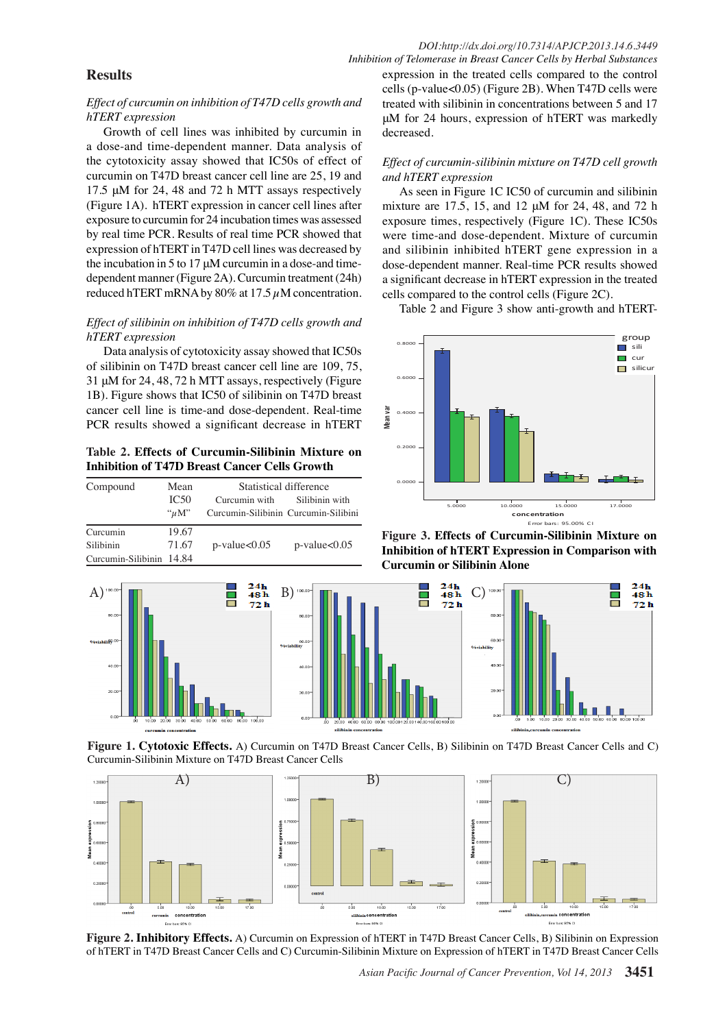# **Results**

## *Effect of curcumin on inhibition of T47D cells growth and hTERT expression*

Growth of cell lines was inhibited by curcumin in a dose-and time-dependent manner. Data analysis of the cytotoxicity assay showed that IC50s of effect of curcumin on T47D breast cancer cell line are 25, 19 and 17.5 μM for 24, 48 and 72 h MTT assays respectively (Figure 1A). hTERT expression in cancer cell lines after exposure to curcumin for 24 incubation times was assessed by real time PCR. Results of real time PCR showed that expression of hTERT in T47D cell lines was decreased by the incubation in 5 to 17 μM curcumin in a dose-and timedependent manner (Figure 2A). Curcumin treatment (24h) reduced hTERT mRNA by 80% at 17.5  $\mu$ M concentration.

# *Effect of silibinin on inhibition of T47D cells growth and hTERT expression*

Data analysis of cytotoxicity assay showed that IC50s of silibinin on T47D breast cancer cell line are 109, 75, 31 μM for 24, 48, 72 h MTT assays, respectively (Figure  $1B$ ). Figure shows that IC50 of silibinin on T47D breast cancer cell line is time-and dose-dependent. Real-time PCR results showed a significant decrease in hTERT

Table 2. Effects of Curcumin-Silibinin Mixture on<br>Inhibition of T47D Breast Cancer Cells Growth **Inhibition of T47D Breast Cancer Cells Growth**

| Compound                 | Mean<br>IC <sub>50</sub> | Statistical difference<br>Curcumin with<br>Silibinin with |                    |
|--------------------------|--------------------------|-----------------------------------------------------------|--------------------|
|                          | $\lq u M$ "              | Curcumin-Silibinin Curcumin-Silibini                      |                    |
| Curcumin                 | 19.67                    |                                                           |                    |
| <b>Silibinin</b>         | 71.67                    | $p$ -value $<0.05$                                        | $p$ -value $<0.05$ |
| Curcumin-Silibinin 14.84 |                          |                                                           |                    |



**Figure 1. Cytotoxic Effects.** A) Curcumin on T47D Breast Concer Cells, and C) Cells and C) Curcumin-Silibinin Mixture on T47D Breast Cancer Cells



50.0

75.0

100.0

**Figure 2. Inhibitory Effects.** A) Curcumin on Expression of hTERT in T $\overline{\phi}$ D Breast Cancer Cells, B) Silibinin on Expression of hTERT in T47D Breast Cancer Cells and C) Curcumin-Silibinin Mixture on Expression of hTERT in T47D Breast Cancer Cells

*Inhibition of Telomerase in Breast Cancer Cells by Herbal Substances* expression in the treated cells compared to the control cells (p-value<0.05) (Figure 2B). When T47D cells were treated with silibinin in concentrations between 5 and 17 μM for 24 hours, expression of hTERT was markedly decreased.

## *Effect of curcumin-silibinin mixture on T47D cell growth and hTERT expression*

As seen in Figure 1C IC50 of curcumin and silibinin mixture are 17.5, 15, and 12 μM for 24, 48, and 72 h exposure times, respectively (Figure 1C). These IC50s were time-and dose-dependent. Mixture of curcumin and silibinin inhibited hTERT gene expression in a dose-dependent manner. Real-time PCR results showed a significant decrease in hTERT expression in the treated cells compared to the control cells (Figure 2C).

Table 2 and Figure 3 show anti-growth and hTERT-



**Figure 3. Effects of Curcumin-Silibinin Mixture on Inhibition of hTERT Expression in Comparison with Curcumin or Silibinin Alone**

**54.2**

 $10.1$  |  $20.3$ 

 $6.3$ 

E rror bars: 95.00% C I

**46.8 56.3**

*Asian Pacific Journal of Cancer Prevention, Vol 14, 2013* **3451**



None

**25.0 30.0**

ш н  $\frac{24h}{48h}$ 

 $72<sub>h</sub>$ 

 $31.3$  **1**  $\frac{1}{30.0}$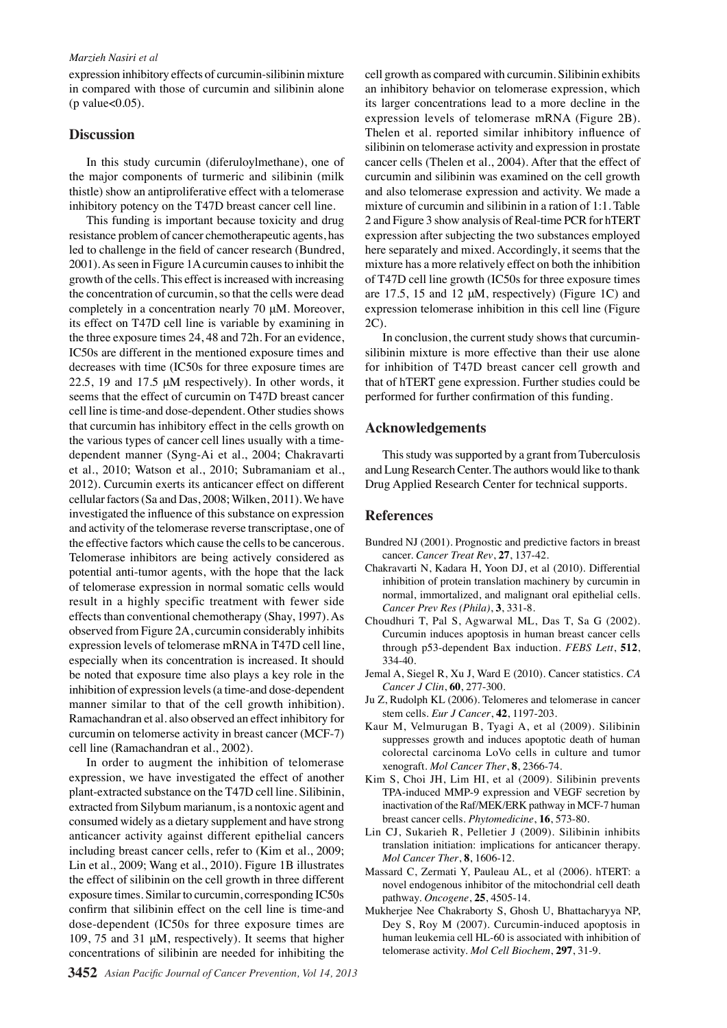#### *Marzieh Nasiri et al*

expression inhibitory effects of curcumin-silibinin mixture in compared with those of curcumin and silibinin alone (p value $<0.05$ ).

## **Discussion**

In this study curcumin (diferuloylmethane), one of the major components of turmeric and silibinin (milk thistle) show an antiproliferative effect with a telomerase inhibitory potency on the T47D breast cancer cell line.

This funding is important because toxicity and drug resistance problem of cancer chemotherapeutic agents, has led to challenge in the field of cancer research (Bundred, 2001). As seen in Figure 1A curcumin causes to inhibit the growth of the cells. This effect is increased with increasing the concentration of curcumin, so that the cells were dead completely in a concentration nearly 70 μM. Moreover, its effect on T47D cell line is variable by examining in the three exposure times 24, 48 and 72h. For an evidence, IC50s are different in the mentioned exposure times and decreases with time (IC50s for three exposure times are 22.5, 19 and 17.5  $\mu$ M respectively). In other words, it seems that the effect of curcumin on T47D breast cancer cell line is time-and dose-dependent. Other studies shows that curcumin has inhibitory effect in the cells growth on the various types of cancer cell lines usually with a timedependent manner (Syng-Ai et al., 2004; Chakravarti et al., 2010; Watson et al., 2010; Subramaniam et al., 2012). Curcumin exerts its anticancer effect on different cellular factors (Sa and Das, 2008; Wilken, 2011). We have investigated the influence of this substance on expression and activity of the telomerase reverse transcriptase, one of the effective factors which cause the cells to be cancerous. Telomerase inhibitors are being actively considered as potential anti-tumor agents, with the hope that the lack of telomerase expression in normal somatic cells would result in a highly specific treatment with fewer side effects than conventional chemotherapy (Shay, 1997). As observed from Figure 2A, curcumin considerably inhibits expression levels of telomerase mRNA in T47D cell line, especially when its concentration is increased. It should be noted that exposure time also plays a key role in the inhibition of expression levels (a time-and dose-dependent manner similar to that of the cell growth inhibition). Ramachandran et al. also observed an effect inhibitory for curcumin on telomerse activity in breast cancer (MCF-7) cell line (Ramachandran et al., 2002).

In order to augment the inhibition of telomerase expression, we have investigated the effect of another plant-extracted substance on the T47D cell line. Silibinin, extracted from Silybum marianum, is a nontoxic agent and consumed widely as a dietary supplement and have strong anticancer activity against different epithelial cancers including breast cancer cells, refer to (Kim et al., 2009; Lin et al., 2009; Wang et al., 2010). Figure 1B illustrates the effect of silibinin on the cell growth in three different exposure times. Similar to curcumin, corresponding IC50s confirm that silibinin effect on the cell line is time-and dose-dependent (IC50s for three exposure times are 109, 75 and 31 μM, respectively). It seems that higher concentrations of silibinin are needed for inhibiting the

cell growth as compared with curcumin. Silibinin exhibits an inhibitory behavior on telomerase expression, which its larger concentrations lead to a more decline in the expression levels of telomerase mRNA (Figure 2B). Thelen et al. reported similar inhibitory influence of silibinin on telomerase activity and expression in prostate cancer cells (Thelen et al., 2004). After that the effect of curcumin and silibinin was examined on the cell growth and also telomerase expression and activity. We made a mixture of curcumin and silibinin in a ration of 1:1. Table 2 and Figure 3 show analysis of Real-time PCR for hTERT expression after subjecting the two substances employed here separately and mixed. Accordingly, it seems that the mixture has a more relatively effect on both the inhibition of T47D cell line growth (IC50s for three exposure times are 17.5, 15 and 12  $\mu$ M, respectively) (Figure 1C) and expression telomerase inhibition in this cell line (Figure 2C).

In conclusion, the current study shows that curcuminsilibinin mixture is more effective than their use alone for inhibition of T47D breast cancer cell growth and that of hTERT gene expression. Further studies could be performed for further confirmation of this funding.

# **Acknowledgements**

This study was supported by a grant from Tuberculosis and Lung Research Center. The authors would like to thank Drug Applied Research Center for technical supports.

#### **References**

- Bundred NJ (2001). Prognostic and predictive factors in breast cancer. *Cancer Treat Rev*, **27**, 137-42.
- Chakravarti N, Kadara H, Yoon DJ, et al (2010). Differential inhibition of protein translation machinery by curcumin in normal, immortalized, and malignant oral epithelial cells. *Cancer Prev Res (Phila)*, **3**, 331-8.
- Choudhuri T, Pal S, Agwarwal ML, Das T, Sa G (2002). Curcumin induces apoptosis in human breast cancer cells through p53-dependent Bax induction. *FEBS Lett*, **512**, 334-40.
- Jemal A, Siegel R, Xu J, Ward E (2010). Cancer statistics. *CA Cancer J Clin*, **60**, 277-300.
- Ju Z, Rudolph KL (2006). Telomeres and telomerase in cancer stem cells. *Eur J Cancer*, **42**, 1197-203.
- Kaur M, Velmurugan B, Tyagi A, et al (2009). Silibinin suppresses growth and induces apoptotic death of human colorectal carcinoma LoVo cells in culture and tumor xenograft. *Mol Cancer Ther*, **8**, 2366-74.
- Kim S, Choi JH, Lim HI, et al (2009). Silibinin prevents TPA-induced MMP-9 expression and VEGF secretion by inactivation of the Raf/MEK/ERK pathway in MCF-7 human breast cancer cells. *Phytomedicine*, **16**, 573-80.
- Lin CJ, Sukarieh R, Pelletier J (2009). Silibinin inhibits translation initiation: implications for anticancer therapy. *Mol Cancer Ther*, **8**, 1606-12.
- Massard C, Zermati Y, Pauleau AL, et al (2006). hTERT: a novel endogenous inhibitor of the mitochondrial cell death pathway. *Oncogene*, **25**, 4505-14.
- Mukherjee Nee Chakraborty S, Ghosh U, Bhattacharyya NP, Dey S, Roy M (2007). Curcumin-induced apoptosis in human leukemia cell HL-60 is associated with inhibition of telomerase activity. *Mol Cell Biochem*, **297**, 31-9.